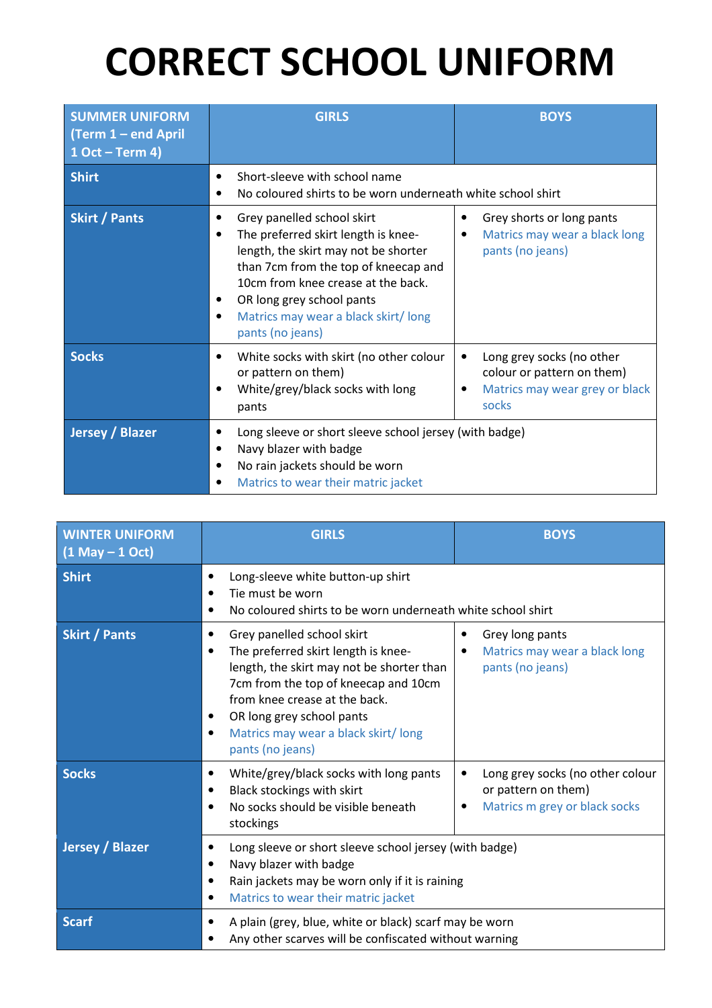## CORRECT SCHOOL UNIFORM

| <b>SUMMER UNIFORM</b><br>$\Gamma$ (Term 1 – end April<br>$1$ Oct – Term 4) | <b>GIRLS</b>                                                                                                                                                                                                                                                                                                           | <b>BOYS</b>                                                                                             |
|----------------------------------------------------------------------------|------------------------------------------------------------------------------------------------------------------------------------------------------------------------------------------------------------------------------------------------------------------------------------------------------------------------|---------------------------------------------------------------------------------------------------------|
| <b>Shirt</b>                                                               | Short-sleeve with school name<br>٠<br>No coloured shirts to be worn underneath white school shirt<br>٠                                                                                                                                                                                                                 |                                                                                                         |
| <b>Skirt / Pants</b>                                                       | Grey panelled school skirt<br>The preferred skirt length is knee-<br>$\bullet$<br>length, the skirt may not be shorter<br>than 7cm from the top of kneecap and<br>10cm from knee crease at the back.<br>OR long grey school pants<br>$\bullet$<br>Matrics may wear a black skirt/long<br>$\bullet$<br>pants (no jeans) | Grey shorts or long pants<br>Matrics may wear a black long<br>pants (no jeans)                          |
| <b>Socks</b>                                                               | White socks with skirt (no other colour<br>$\bullet$<br>or pattern on them)<br>White/grey/black socks with long<br>$\bullet$<br>pants                                                                                                                                                                                  | Long grey socks (no other<br>٠<br>colour or pattern on them)<br>Matrics may wear grey or black<br>socks |
| Jersey / Blazer                                                            | Long sleeve or short sleeve school jersey (with badge)<br>$\bullet$<br>Navy blazer with badge<br>٠<br>No rain jackets should be worn<br>Matrics to wear their matric jacket                                                                                                                                            |                                                                                                         |

| <b>WINTER UNIFORM</b><br>$(1$ May $- 1$ Oct) | <b>GIRLS</b>                                                                                                                                                                                                                                                                                      | <b>BOYS</b>                                                                                   |
|----------------------------------------------|---------------------------------------------------------------------------------------------------------------------------------------------------------------------------------------------------------------------------------------------------------------------------------------------------|-----------------------------------------------------------------------------------------------|
| <b>Shirt</b>                                 | Long-sleeve white button-up shirt<br>٠<br>Tie must be worn<br>No coloured shirts to be worn underneath white school shirt                                                                                                                                                                         |                                                                                               |
| <b>Skirt / Pants</b>                         | Grey panelled school skirt<br>The preferred skirt length is knee-<br>$\bullet$<br>length, the skirt may not be shorter than<br>7cm from the top of kneecap and 10cm<br>from knee crease at the back.<br>OR long grey school pants<br>Matrics may wear a black skirt/long<br>٠<br>pants (no jeans) | Grey long pants<br>٠<br>Matrics may wear a black long<br>٠<br>pants (no jeans)                |
| <b>Socks</b>                                 | White/grey/black socks with long pants<br>Black stockings with skirt<br>٠<br>No socks should be visible beneath<br>stockings                                                                                                                                                                      | Long grey socks (no other colour<br>or pattern on them)<br>Matrics m grey or black socks<br>٠ |
| <b>Jersey / Blazer</b>                       | Long sleeve or short sleeve school jersey (with badge)<br>Navy blazer with badge<br>Rain jackets may be worn only if it is raining<br>٠<br>Matrics to wear their matric jacket<br>٠                                                                                                               |                                                                                               |
| <b>Scarf</b>                                 | A plain (grey, blue, white or black) scarf may be worn<br>Any other scarves will be confiscated without warning                                                                                                                                                                                   |                                                                                               |